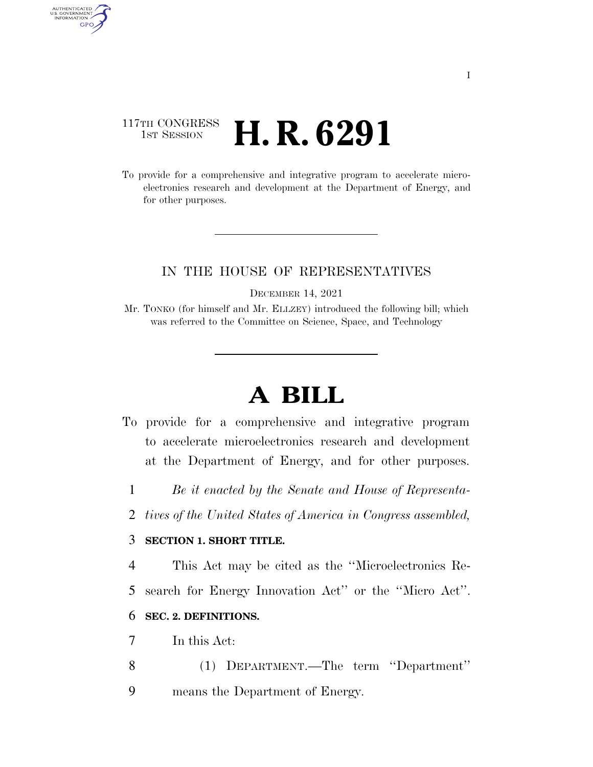## 117TH CONGRESS **1st Session H. R. 6291**

AUTHENTICATED<br>U.S. GOVERNMENT<br>INFORMATION GPO

> To provide for a comprehensive and integrative program to accelerate microelectronics research and development at the Department of Energy, and for other purposes.

### IN THE HOUSE OF REPRESENTATIVES

DECEMBER 14, 2021

Mr. TONKO (for himself and Mr. ELLZEY) introduced the following bill; which was referred to the Committee on Science, Space, and Technology

# **A BILL**

- To provide for a comprehensive and integrative program to accelerate microelectronics research and development at the Department of Energy, and for other purposes.
	- 1 *Be it enacted by the Senate and House of Representa-*
	- 2 *tives of the United States of America in Congress assembled,*

#### 3 **SECTION 1. SHORT TITLE.**

4 This Act may be cited as the ''Microelectronics Re-

5 search for Energy Innovation Act'' or the ''Micro Act''.

#### 6 **SEC. 2. DEFINITIONS.**

- 7 In this Act:
- 8 (1) DEPARTMENT.—The term ''Department''
- 9 means the Department of Energy.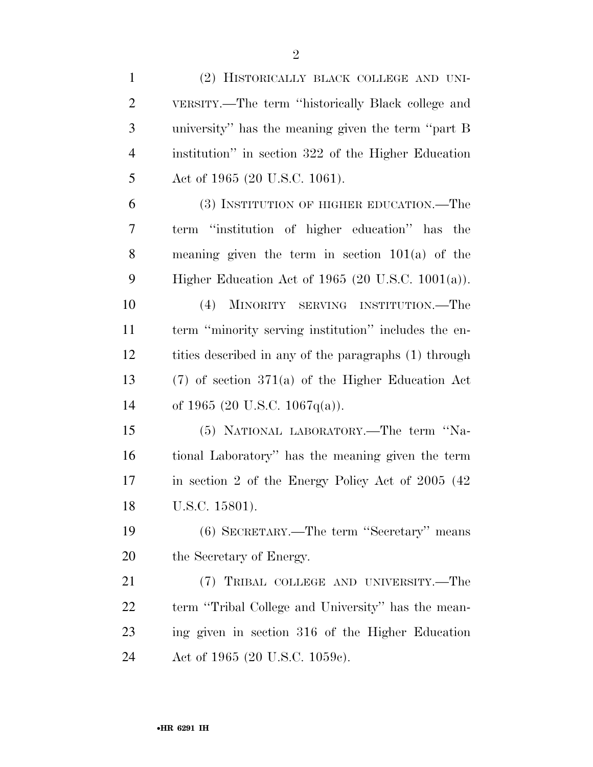| $\mathbf{1}$   | (2) HISTORICALLY BLACK COLLEGE AND UNI-               |
|----------------|-------------------------------------------------------|
| $\overline{2}$ | VERSITY.—The term "historically Black college and     |
| 3              | university" has the meaning given the term "part B    |
| $\overline{4}$ | institution" in section 322 of the Higher Education   |
| 5              | Act of 1965 (20 U.S.C. 1061).                         |
| 6              | (3) INSTITUTION OF HIGHER EDUCATION.—The              |
| 7              | term "institution of higher education" has the        |
| 8              | meaning given the term in section $101(a)$ of the     |
| 9              | Higher Education Act of 1965 (20 U.S.C. $1001(a)$ ).  |
| 10             | (4)<br>MINORITY SERVING INSTITUTION.—The              |
| 11             | term "minority serving institution" includes the en-  |
| 12             | tities described in any of the paragraphs (1) through |
| 13             | $(7)$ of section 371(a) of the Higher Education Act   |
| 14             | of 1965 (20 U.S.C. 1067q(a)).                         |
| 15             | (5) NATIONAL LABORATORY.—The term "Na-                |
| 16             | tional Laboratory" has the meaning given the term     |
| 17             | in section 2 of the Energy Policy Act of 2005 (42)    |
| 18             | U.S.C. 15801).                                        |
| 19             | (6) SECRETARY.—The term "Secretary" means             |
| 20             | the Secretary of Energy.                              |
| 21             | (7) TRIBAL COLLEGE AND UNIVERSITY.—The                |
| 22             | term "Tribal College and University" has the mean-    |
| 23             | ing given in section 316 of the Higher Education      |
| 24             | Act of 1965 (20 U.S.C. 1059c).                        |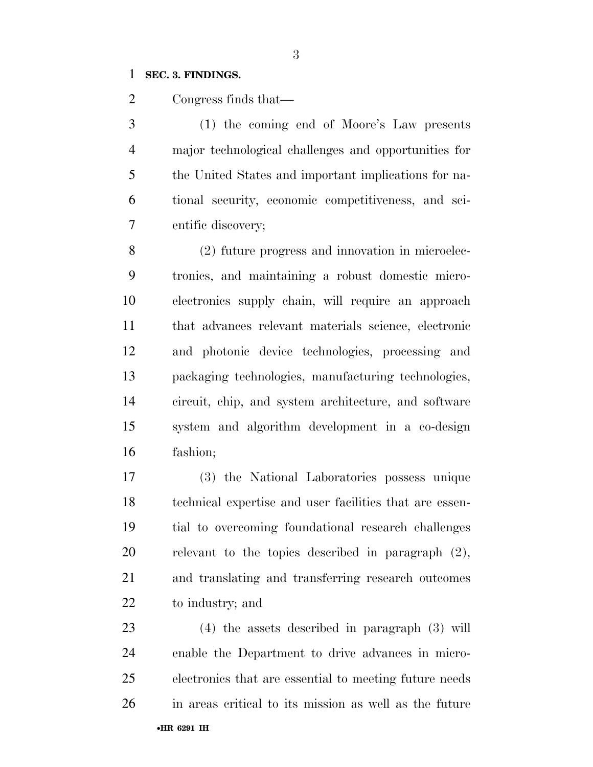#### **SEC. 3. FINDINGS.**

Congress finds that—

 (1) the coming end of Moore's Law presents major technological challenges and opportunities for the United States and important implications for na- tional security, economic competitiveness, and sci-entific discovery;

 (2) future progress and innovation in microelec- tronics, and maintaining a robust domestic micro- electronics supply chain, will require an approach that advances relevant materials science, electronic and photonic device technologies, processing and packaging technologies, manufacturing technologies, circuit, chip, and system architecture, and software system and algorithm development in a co-design fashion;

 (3) the National Laboratories possess unique technical expertise and user facilities that are essen- tial to overcoming foundational research challenges relevant to the topics described in paragraph (2), and translating and transferring research outcomes to industry; and

•**HR 6291 IH** (4) the assets described in paragraph (3) will enable the Department to drive advances in micro- electronics that are essential to meeting future needs in areas critical to its mission as well as the future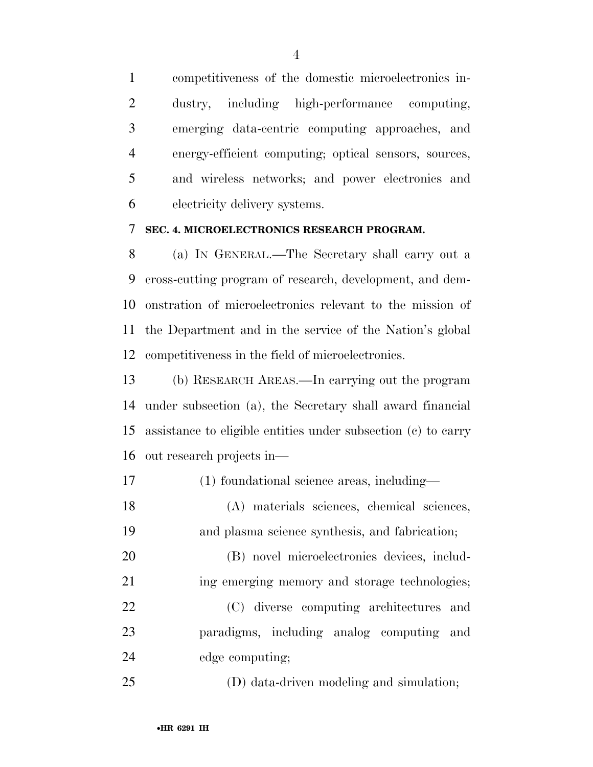competitiveness of the domestic microelectronics in- dustry, including high-performance computing, emerging data-centric computing approaches, and energy-efficient computing; optical sensors, sources, and wireless networks; and power electronics and electricity delivery systems.

#### **SEC. 4. MICROELECTRONICS RESEARCH PROGRAM.**

 (a) IN GENERAL.—The Secretary shall carry out a cross-cutting program of research, development, and dem- onstration of microelectronics relevant to the mission of the Department and in the service of the Nation's global competitiveness in the field of microelectronics.

 (b) RESEARCH AREAS.—In carrying out the program under subsection (a), the Secretary shall award financial assistance to eligible entities under subsection (c) to carry out research projects in—

- (1) foundational science areas, including—
- (A) materials sciences, chemical sciences, and plasma science synthesis, and fabrication;

 (B) novel microelectronics devices, includ- ing emerging memory and storage technologies; (C) diverse computing architectures and paradigms, including analog computing and edge computing;

(D) data-driven modeling and simulation;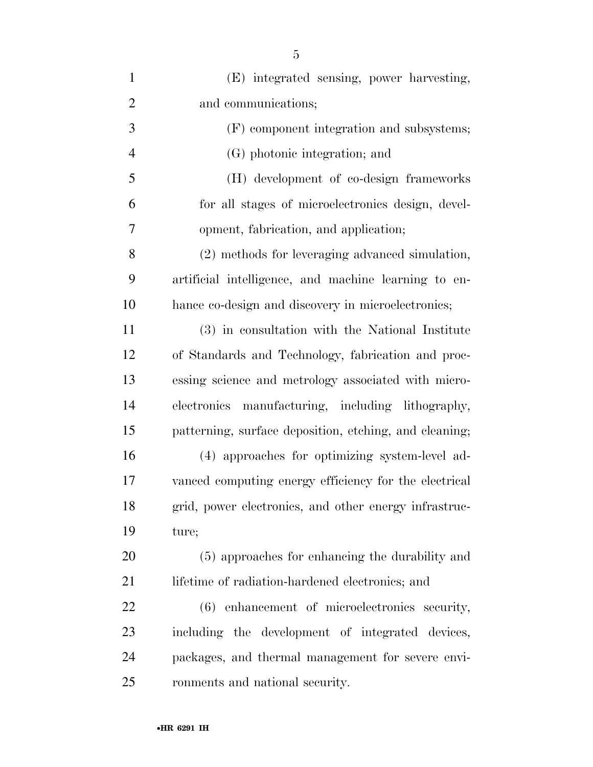| $\mathbf{1}$   | (E) integrated sensing, power harvesting,              |
|----------------|--------------------------------------------------------|
| $\overline{2}$ | and communications;                                    |
| 3              | (F) component integration and subsystems;              |
| $\overline{4}$ | (G) photonic integration; and                          |
| 5              | (H) development of co-design frameworks                |
| 6              | for all stages of microelectronics design, devel-      |
| 7              | opment, fabrication, and application;                  |
| 8              | (2) methods for leveraging advanced simulation,        |
| 9              | artificial intelligence, and machine learning to en-   |
| 10             | hance co-design and discovery in microelectronics;     |
| 11             | (3) in consultation with the National Institute        |
| 12             | of Standards and Technology, fabrication and proc-     |
| 13             | essing science and metrology associated with micro-    |
| 14             | electronics manufacturing, including lithography,      |
| 15             | patterning, surface deposition, etching, and cleaning; |
| 16             | (4) approaches for optimizing system-level ad-         |
| 17             | vanced computing energy efficiency for the electrical  |
| 18             | grid, power electronics, and other energy infrastruc-  |
| 19             | ture;                                                  |
| <b>20</b>      | (5) approaches for enhancing the durability and        |
| 21             | lifetime of radiation-hardened electronics; and        |
| 22             | (6) enhancement of microelectronics security,          |
| 23             | including the development of integrated devices,       |
| 24             | packages, and thermal management for severe envi-      |
| 25             | ronments and national security.                        |
|                |                                                        |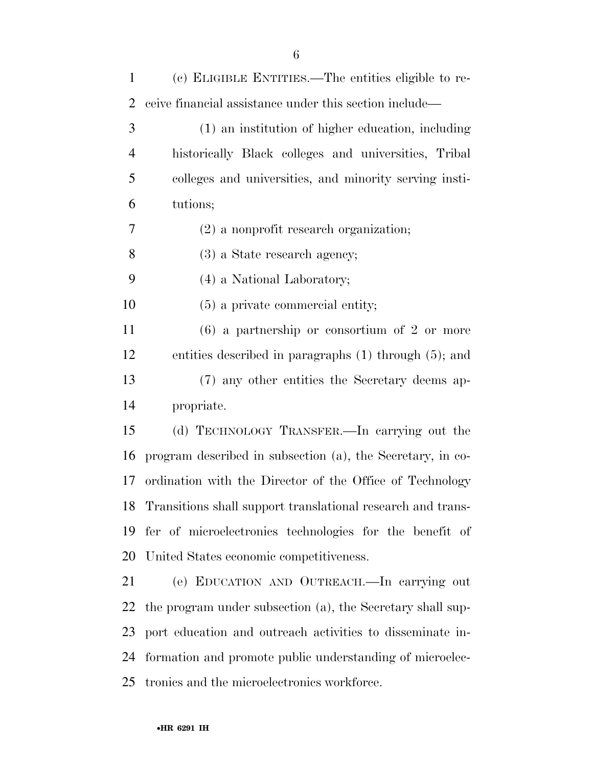| 1              | (c) ELIGIBLE ENTITIES.—The entities eligible to re-            |
|----------------|----------------------------------------------------------------|
| 2              | ceive financial assistance under this section include—         |
| 3              | (1) an institution of higher education, including              |
| $\overline{4}$ | historically Black colleges and universities, Tribal           |
| 5              | colleges and universities, and minority serving insti-         |
| 6              | tutions;                                                       |
| $\tau$         | $(2)$ a nonprofit research organization;                       |
| 8              | $(3)$ a State research agency;                                 |
| 9              | (4) a National Laboratory;                                     |
| 10             | $(5)$ a private commercial entity;                             |
| 11             | $(6)$ a partnership or consortium of 2 or more                 |
| 12             | entities described in paragraphs $(1)$ through $(5)$ ; and     |
| 13             | (7) any other entities the Secretary deems ap-                 |
| 14             | propriate.                                                     |
| 15             | (d) TECHNOLOGY TRANSFER.—In carrying out the                   |
| 16             | program described in subsection (a), the Secretary, in co-     |
| 17             | ordination with the Director of the Office of Technology       |
|                | 18 Transitions shall support translational research and trans- |
| 19             | fer of microelectronics technologies for the benefit of        |
| 20             | United States economic competitiveness.                        |
| 21             | (e) EDUCATION AND OUTREACH. In carrying out                    |
| <u>22</u>      | the program under subsection (a), the Secretary shall sup-     |
| 23             | port education and outreach activities to disseminate in-      |
| 24             | formation and promote public understanding of microelec-       |
| 25             | tronics and the microelectronics workforce.                    |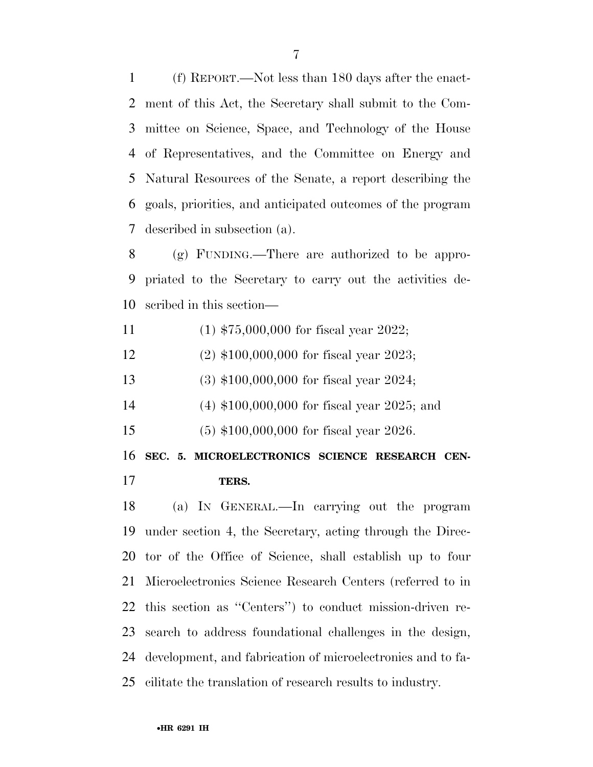(f) REPORT.—Not less than 180 days after the enact- ment of this Act, the Secretary shall submit to the Com- mittee on Science, Space, and Technology of the House of Representatives, and the Committee on Energy and Natural Resources of the Senate, a report describing the goals, priorities, and anticipated outcomes of the program described in subsection (a).

 (g) FUNDING.—There are authorized to be appro- priated to the Secretary to carry out the activities de-scribed in this section—

- (1) \$75,000,000 for fiscal year 2022;
- (2) \$100,000,000 for fiscal year 2023;
- (3) \$100,000,000 for fiscal year 2024;
- (4) \$100,000,000 for fiscal year 2025; and
- (5) \$100,000,000 for fiscal year 2026.

**SEC. 5. MICROELECTRONICS SCIENCE RESEARCH CEN-**

**TERS.** 

 (a) IN GENERAL.—In carrying out the program under section 4, the Secretary, acting through the Direc- tor of the Office of Science, shall establish up to four Microelectronics Science Research Centers (referred to in this section as ''Centers'') to conduct mission-driven re- search to address foundational challenges in the design, development, and fabrication of microelectronics and to fa-cilitate the translation of research results to industry.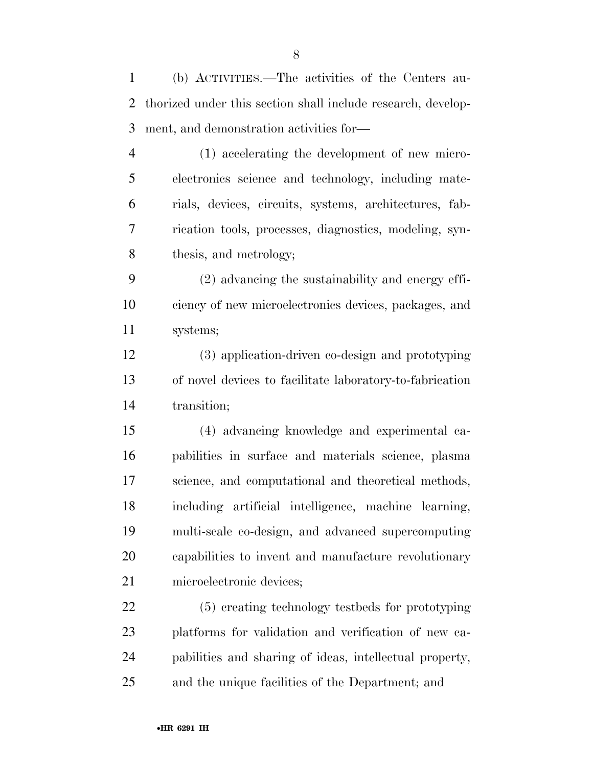(b) ACTIVITIES.—The activities of the Centers au- thorized under this section shall include research, develop-ment, and demonstration activities for—

 (1) accelerating the development of new micro- electronics science and technology, including mate- rials, devices, circuits, systems, architectures, fab- rication tools, processes, diagnostics, modeling, syn-thesis, and metrology;

 (2) advancing the sustainability and energy effi- ciency of new microelectronics devices, packages, and systems;

 (3) application-driven co-design and prototyping of novel devices to facilitate laboratory-to-fabrication transition;

 (4) advancing knowledge and experimental ca- pabilities in surface and materials science, plasma science, and computational and theoretical methods, including artificial intelligence, machine learning, multi-scale co-design, and advanced supercomputing capabilities to invent and manufacture revolutionary microelectronic devices;

 (5) creating technology testbeds for prototyping platforms for validation and verification of new ca- pabilities and sharing of ideas, intellectual property, and the unique facilities of the Department; and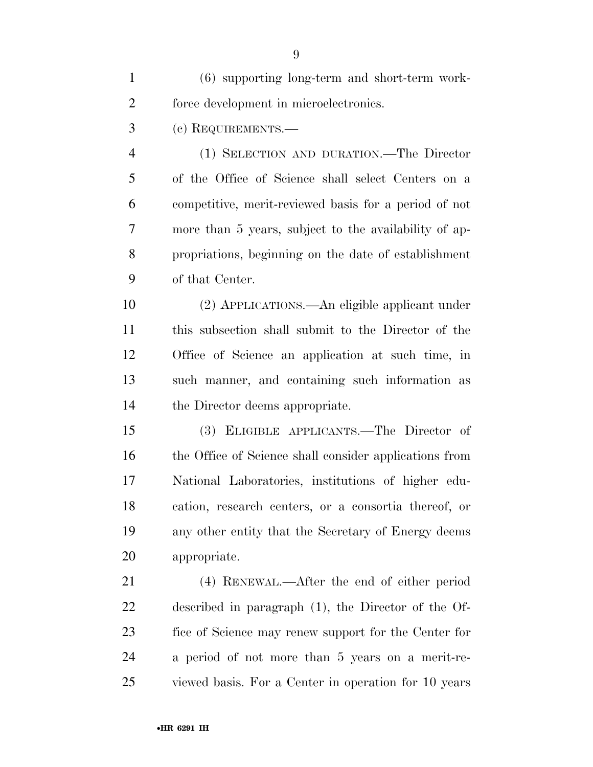| $\mathbf{1}$   | (6) supporting long-term and short-term work-          |
|----------------|--------------------------------------------------------|
| $\overline{2}$ | force development in microelectronics.                 |
| 3              | (c) REQUIREMENTS.—                                     |
| $\overline{4}$ | (1) SELECTION AND DURATION.—The Director               |
| 5              | of the Office of Science shall select Centers on a     |
| 6              | competitive, merit-reviewed basis for a period of not  |
| 7              | more than 5 years, subject to the availability of ap-  |
| 8              | propriations, beginning on the date of establishment   |
| 9              | of that Center.                                        |
| 10             | (2) APPLICATIONS.—An eligible applicant under          |
| 11             | this subsection shall submit to the Director of the    |
| 12             | Office of Science an application at such time, in      |
| 13             | such manner, and containing such information as        |
| 14             | the Director deems appropriate.                        |
| 15             | (3) ELIGIBLE APPLICANTS.—The Director of               |
| 16             | the Office of Science shall consider applications from |
| 17             | National Laboratories, institutions of higher edu-     |
| 18             | cation, research centers, or a consortia thereof, or   |
| 19             | any other entity that the Secretary of Energy deems    |
| 20             | appropriate.                                           |
| 21             | (4) RENEWAL.—After the end of either period            |
| 22             | described in paragraph $(1)$ , the Director of the Of- |
| 23             | fice of Science may renew support for the Center for   |
| 24             | a period of not more than 5 years on a merit-re-       |
| 25             | viewed basis. For a Center in operation for 10 years   |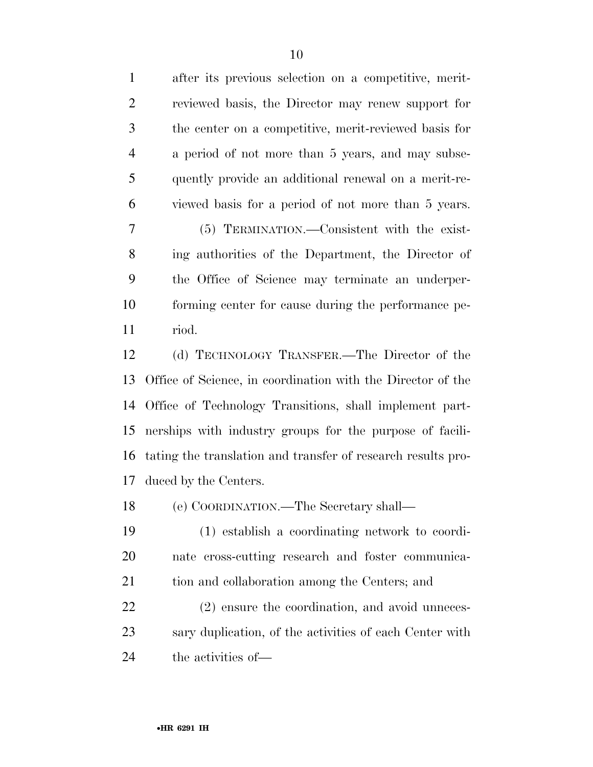after its previous selection on a competitive, merit- reviewed basis, the Director may renew support for the center on a competitive, merit-reviewed basis for a period of not more than 5 years, and may subse- quently provide an additional renewal on a merit-re- viewed basis for a period of not more than 5 years. (5) TERMINATION.—Consistent with the exist- ing authorities of the Department, the Director of the Office of Science may terminate an underper- forming center for cause during the performance pe- riod. (d) TECHNOLOGY TRANSFER.—The Director of the Office of Science, in coordination with the Director of the

 Office of Technology Transitions, shall implement part- nerships with industry groups for the purpose of facili- tating the translation and transfer of research results pro-duced by the Centers.

(e) COORDINATION.—The Secretary shall—

 (1) establish a coordinating network to coordi- nate cross-cutting research and foster communica-tion and collaboration among the Centers; and

 (2) ensure the coordination, and avoid unneces- sary duplication, of the activities of each Center with the activities of—